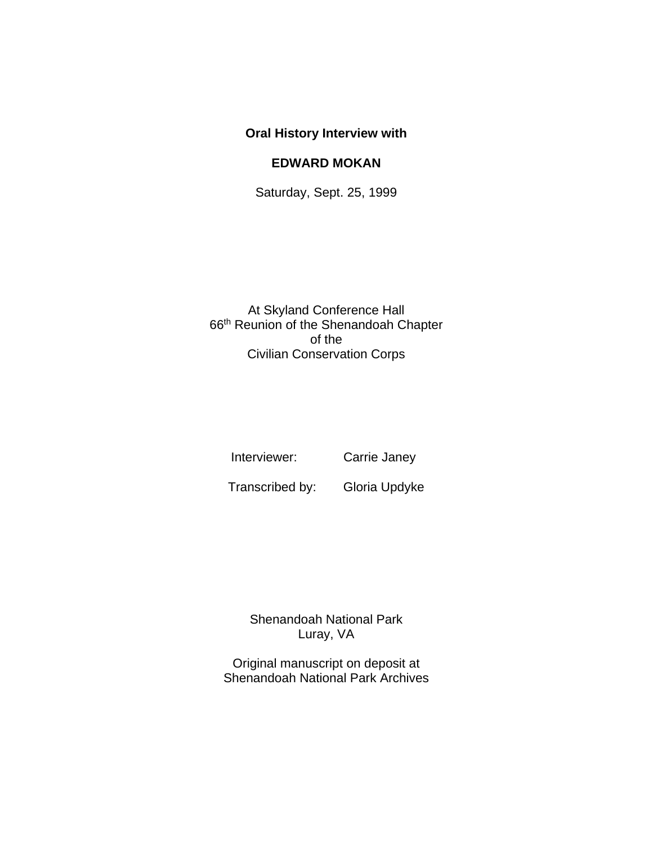## **Oral History Interview with**

## **EDWARD MOKAN**

Saturday, Sept. 25, 1999

At Skyland Conference Hall 66th Reunion of the Shenandoah Chapter of the Civilian Conservation Corps

Interviewer: Carrie Janey

Transcribed by: Gloria Updyke

Shenandoah National Park Luray, VA

Original manuscript on deposit at Shenandoah National Park Archives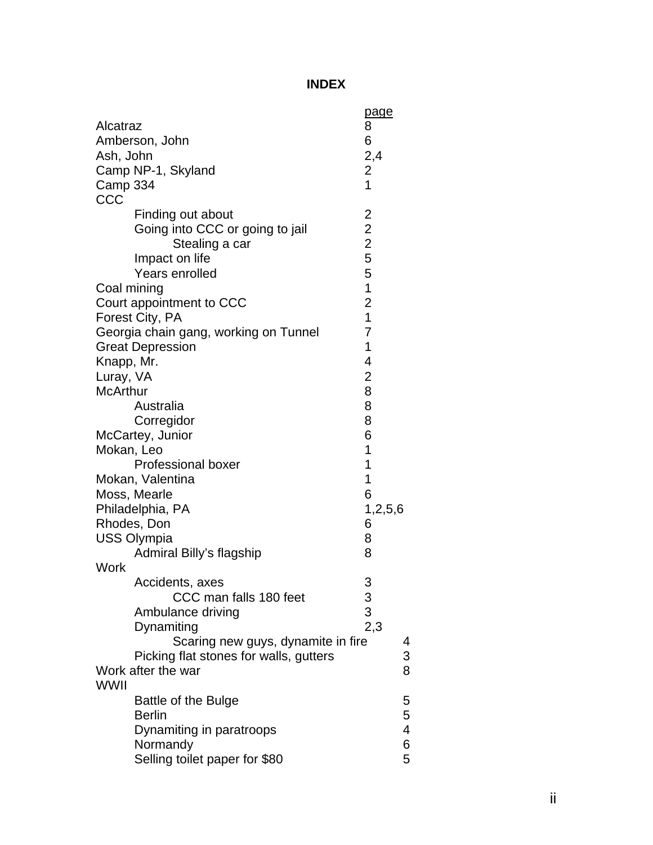## **INDEX**

| Alcatraz<br>Ash, John<br>Camp 334<br>CCC                                        | Amberson, John<br>Camp NP-1, Skyland                                                                                                                                                                                                                                                                                                                                                                                               | page<br>8<br>6<br>2,4<br>2<br>$\overline{1}$                                                                                                                                         |                            |
|---------------------------------------------------------------------------------|------------------------------------------------------------------------------------------------------------------------------------------------------------------------------------------------------------------------------------------------------------------------------------------------------------------------------------------------------------------------------------------------------------------------------------|--------------------------------------------------------------------------------------------------------------------------------------------------------------------------------------|----------------------------|
| Coal mining<br>Knapp, Mr.<br>Luray, VA<br><b>McArthur</b><br>Mokan, Leo<br>Work | Finding out about<br>Going into CCC or going to jail<br>Stealing a car<br>Impact on life<br>Years enrolled<br>Court appointment to CCC<br>Forest City, PA<br>Georgia chain gang, working on Tunnel<br><b>Great Depression</b><br>Australia<br>Corregidor<br>McCartey, Junior<br><b>Professional boxer</b><br>Mokan, Valentina<br>Moss, Mearle<br>Philadelphia, PA<br>Rhodes, Don<br><b>USS Olympia</b><br>Admiral Billy's flagship | 22255<br>$\overline{1}$<br>$\overline{c}$<br>$\overline{1}$<br>$\overline{7}$<br>1<br>4<br>$\overline{\mathbf{c}}$<br>8<br>8<br>8<br>6<br>1<br>1<br>1<br>6<br>1,2,5,6<br>6<br>8<br>8 |                            |
| <b>WWII</b>                                                                     | Accidents, axes<br>CCC man falls 180 feet<br>Ambulance driving<br>Dynamiting<br>Scaring new guys, dynamite in fire<br>Picking flat stones for walls, gutters<br>Work after the war<br><b>Battle of the Bulge</b><br><b>Berlin</b><br>Dynamiting in paratroops                                                                                                                                                                      | 3<br>$3$<br>$3$<br>$2,3$                                                                                                                                                             | 4<br>3<br>8<br>5<br>5<br>4 |
|                                                                                 | Normandy<br>Selling toilet paper for \$80                                                                                                                                                                                                                                                                                                                                                                                          |                                                                                                                                                                                      | 6<br>5                     |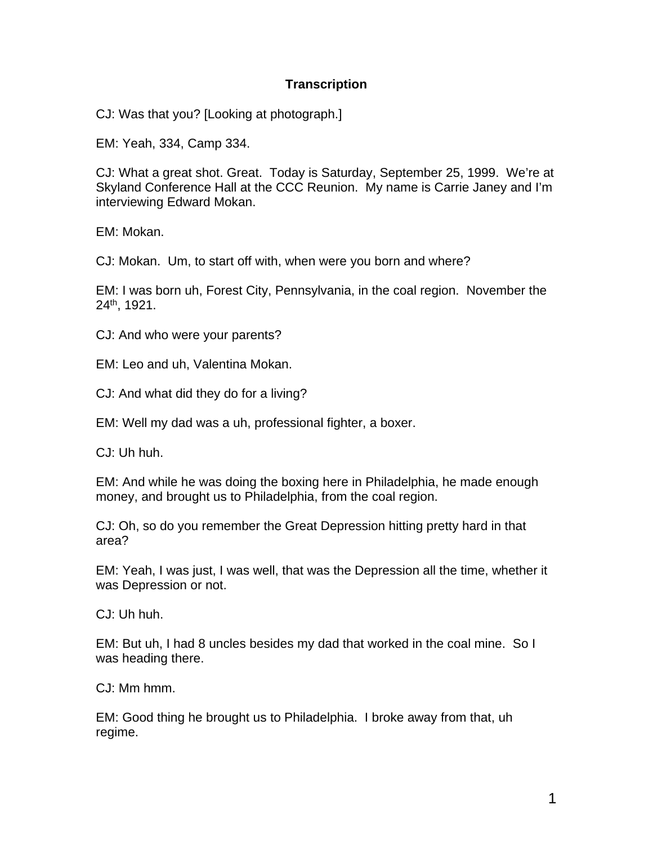## **Transcription**

CJ: Was that you? [Looking at photograph.]

EM: Yeah, 334, Camp 334.

CJ: What a great shot. Great. Today is Saturday, September 25, 1999. We're at Skyland Conference Hall at the CCC Reunion. My name is Carrie Janey and I'm interviewing Edward Mokan.

EM: Mokan.

CJ: Mokan. Um, to start off with, when were you born and where?

EM: I was born uh, Forest City, Pennsylvania, in the coal region. November the  $24$ <sup>th</sup>, 1921.

CJ: And who were your parents?

EM: Leo and uh, Valentina Mokan.

CJ: And what did they do for a living?

EM: Well my dad was a uh, professional fighter, a boxer.

CJ: Uh huh.

EM: And while he was doing the boxing here in Philadelphia, he made enough money, and brought us to Philadelphia, from the coal region.

CJ: Oh, so do you remember the Great Depression hitting pretty hard in that area?

EM: Yeah, I was just, I was well, that was the Depression all the time, whether it was Depression or not.

CJ: Uh huh.

EM: But uh, I had 8 uncles besides my dad that worked in the coal mine. So I was heading there.

CJ: Mm hmm.

EM: Good thing he brought us to Philadelphia. I broke away from that, uh regime.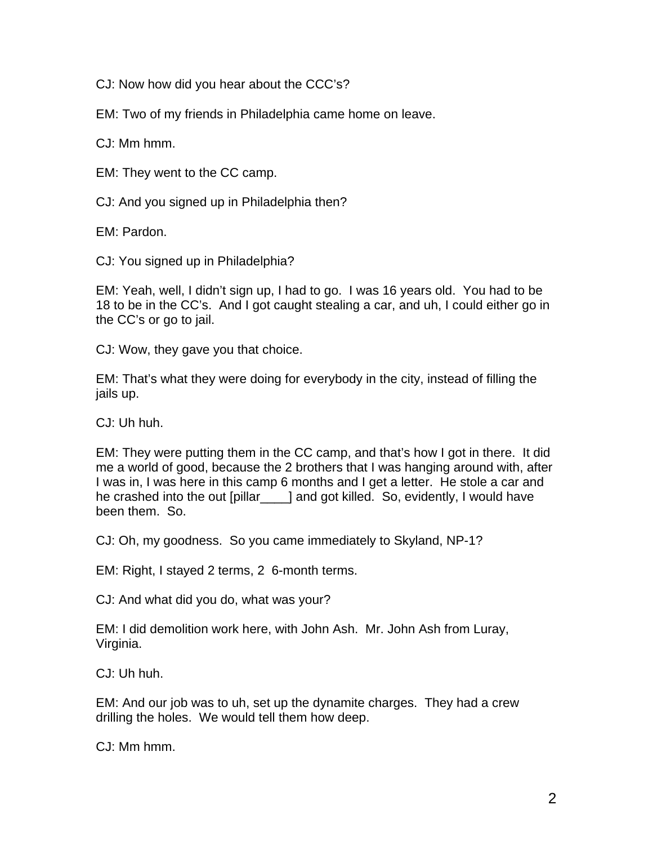CJ: Now how did you hear about the CCC's?

EM: Two of my friends in Philadelphia came home on leave.

CJ: Mm hmm.

EM: They went to the CC camp.

CJ: And you signed up in Philadelphia then?

EM: Pardon.

CJ: You signed up in Philadelphia?

EM: Yeah, well, I didn't sign up, I had to go. I was 16 years old. You had to be 18 to be in the CC's. And I got caught stealing a car, and uh, I could either go in the CC's or go to jail.

CJ: Wow, they gave you that choice.

EM: That's what they were doing for everybody in the city, instead of filling the jails up.

CJ: Uh huh.

EM: They were putting them in the CC camp, and that's how I got in there. It did me a world of good, because the 2 brothers that I was hanging around with, after I was in, I was here in this camp 6 months and I get a letter. He stole a car and he crashed into the out [pillar\_\_\_\_] and got killed. So, evidently, I would have been them. So.

CJ: Oh, my goodness. So you came immediately to Skyland, NP-1?

EM: Right, I stayed 2 terms, 2 6-month terms.

CJ: And what did you do, what was your?

EM: I did demolition work here, with John Ash. Mr. John Ash from Luray, Virginia.

CJ: Uh huh.

EM: And our job was to uh, set up the dynamite charges. They had a crew drilling the holes. We would tell them how deep.

CJ: Mm hmm.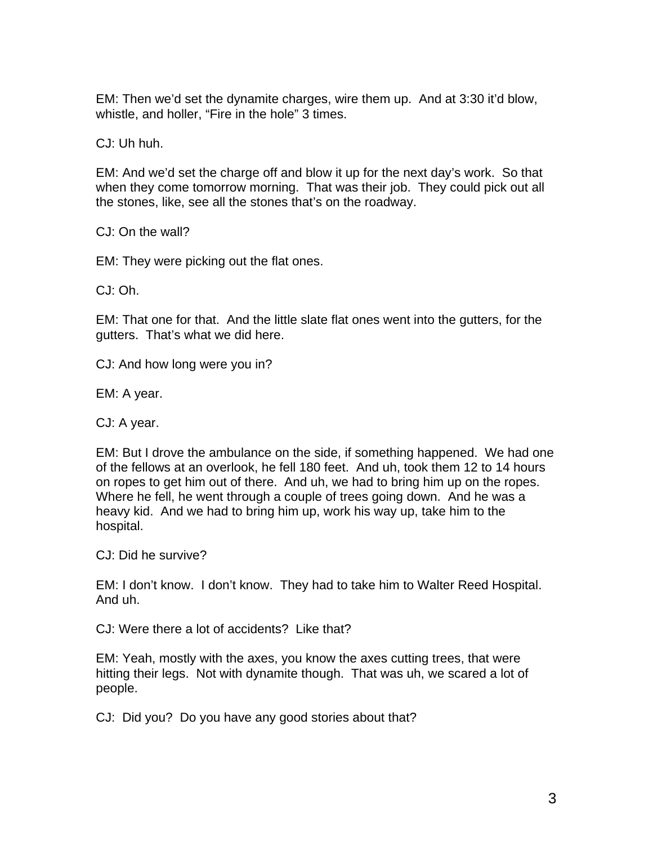EM: Then we'd set the dynamite charges, wire them up. And at 3:30 it'd blow, whistle, and holler, "Fire in the hole" 3 times.

CJ: Uh huh.

EM: And we'd set the charge off and blow it up for the next day's work. So that when they come tomorrow morning. That was their job. They could pick out all the stones, like, see all the stones that's on the roadway.

CJ: On the wall?

EM: They were picking out the flat ones.

CJ: Oh.

EM: That one for that. And the little slate flat ones went into the gutters, for the gutters. That's what we did here.

CJ: And how long were you in?

EM: A year.

CJ: A year.

EM: But I drove the ambulance on the side, if something happened. We had one of the fellows at an overlook, he fell 180 feet. And uh, took them 12 to 14 hours on ropes to get him out of there. And uh, we had to bring him up on the ropes. Where he fell, he went through a couple of trees going down. And he was a heavy kid. And we had to bring him up, work his way up, take him to the hospital.

CJ: Did he survive?

EM: I don't know. I don't know. They had to take him to Walter Reed Hospital. And uh.

CJ: Were there a lot of accidents? Like that?

EM: Yeah, mostly with the axes, you know the axes cutting trees, that were hitting their legs. Not with dynamite though. That was uh, we scared a lot of people.

CJ: Did you? Do you have any good stories about that?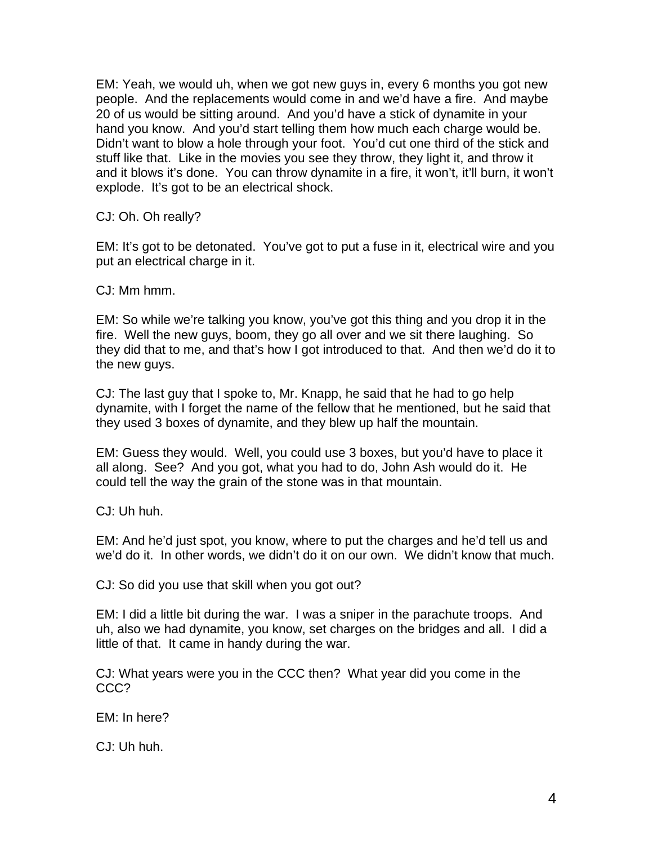EM: Yeah, we would uh, when we got new guys in, every 6 months you got new people. And the replacements would come in and we'd have a fire. And maybe 20 of us would be sitting around. And you'd have a stick of dynamite in your hand you know. And you'd start telling them how much each charge would be. Didn't want to blow a hole through your foot. You'd cut one third of the stick and stuff like that. Like in the movies you see they throw, they light it, and throw it and it blows it's done. You can throw dynamite in a fire, it won't, it'll burn, it won't explode. It's got to be an electrical shock.

CJ: Oh. Oh really?

EM: It's got to be detonated. You've got to put a fuse in it, electrical wire and you put an electrical charge in it.

CJ: Mm hmm.

EM: So while we're talking you know, you've got this thing and you drop it in the fire. Well the new guys, boom, they go all over and we sit there laughing. So they did that to me, and that's how I got introduced to that. And then we'd do it to the new guys.

CJ: The last guy that I spoke to, Mr. Knapp, he said that he had to go help dynamite, with I forget the name of the fellow that he mentioned, but he said that they used 3 boxes of dynamite, and they blew up half the mountain.

EM: Guess they would. Well, you could use 3 boxes, but you'd have to place it all along. See? And you got, what you had to do, John Ash would do it. He could tell the way the grain of the stone was in that mountain.

CJ: Uh huh.

EM: And he'd just spot, you know, where to put the charges and he'd tell us and we'd do it. In other words, we didn't do it on our own. We didn't know that much.

CJ: So did you use that skill when you got out?

EM: I did a little bit during the war. I was a sniper in the parachute troops. And uh, also we had dynamite, you know, set charges on the bridges and all. I did a little of that. It came in handy during the war.

CJ: What years were you in the CCC then? What year did you come in the CCC?

EM: In here?

CJ: Uh huh.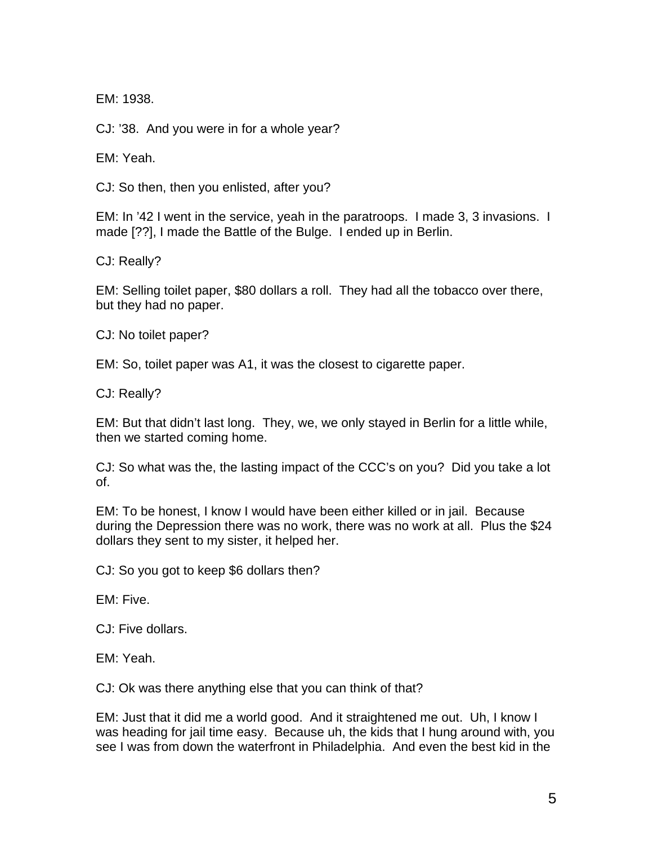EM: 1938.

CJ: '38. And you were in for a whole year?

EM: Yeah.

CJ: So then, then you enlisted, after you?

EM: In '42 I went in the service, yeah in the paratroops. I made 3, 3 invasions. I made [??], I made the Battle of the Bulge. I ended up in Berlin.

CJ: Really?

EM: Selling toilet paper, \$80 dollars a roll. They had all the tobacco over there, but they had no paper.

CJ: No toilet paper?

EM: So, toilet paper was A1, it was the closest to cigarette paper.

CJ: Really?

EM: But that didn't last long. They, we, we only stayed in Berlin for a little while, then we started coming home.

CJ: So what was the, the lasting impact of the CCC's on you? Did you take a lot of.

EM: To be honest, I know I would have been either killed or in jail. Because during the Depression there was no work, there was no work at all. Plus the \$24 dollars they sent to my sister, it helped her.

CJ: So you got to keep \$6 dollars then?

EM: Five.

CJ: Five dollars.

EM: Yeah.

CJ: Ok was there anything else that you can think of that?

EM: Just that it did me a world good. And it straightened me out. Uh, I know I was heading for jail time easy. Because uh, the kids that I hung around with, you see I was from down the waterfront in Philadelphia. And even the best kid in the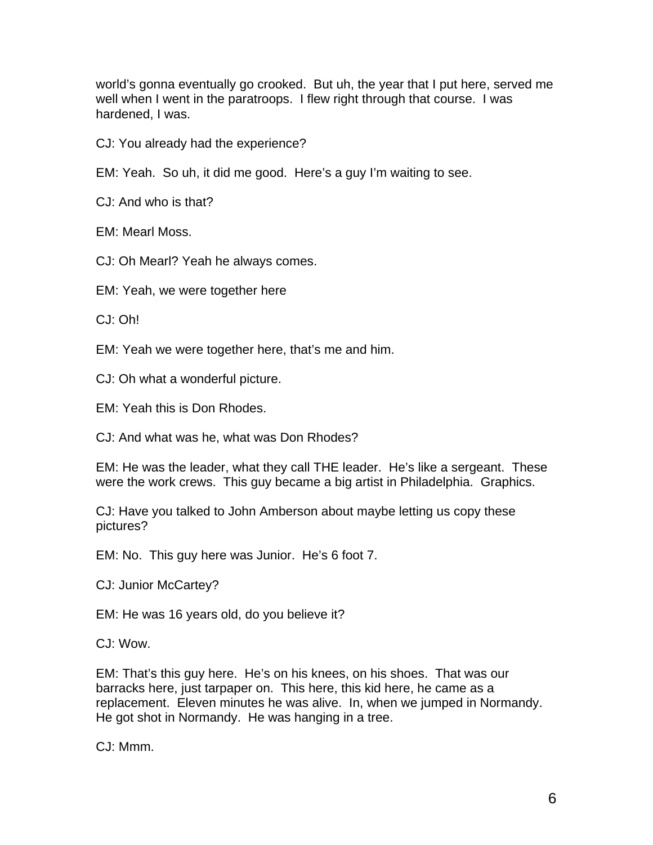world's gonna eventually go crooked. But uh, the year that I put here, served me well when I went in the paratroops. I flew right through that course. I was hardened, I was.

CJ: You already had the experience?

EM: Yeah. So uh, it did me good. Here's a guy I'm waiting to see.

CJ: And who is that?

EM: Mearl Moss.

CJ: Oh Mearl? Yeah he always comes.

EM: Yeah, we were together here

CJ: Oh!

EM: Yeah we were together here, that's me and him.

CJ: Oh what a wonderful picture.

EM: Yeah this is Don Rhodes.

CJ: And what was he, what was Don Rhodes?

EM: He was the leader, what they call THE leader. He's like a sergeant. These were the work crews. This guy became a big artist in Philadelphia. Graphics.

CJ: Have you talked to John Amberson about maybe letting us copy these pictures?

EM: No. This guy here was Junior. He's 6 foot 7.

CJ: Junior McCartey?

EM: He was 16 years old, do you believe it?

CJ: Wow.

EM: That's this guy here. He's on his knees, on his shoes. That was our barracks here, just tarpaper on. This here, this kid here, he came as a replacement. Eleven minutes he was alive. In, when we jumped in Normandy. He got shot in Normandy. He was hanging in a tree.

CJ: Mmm.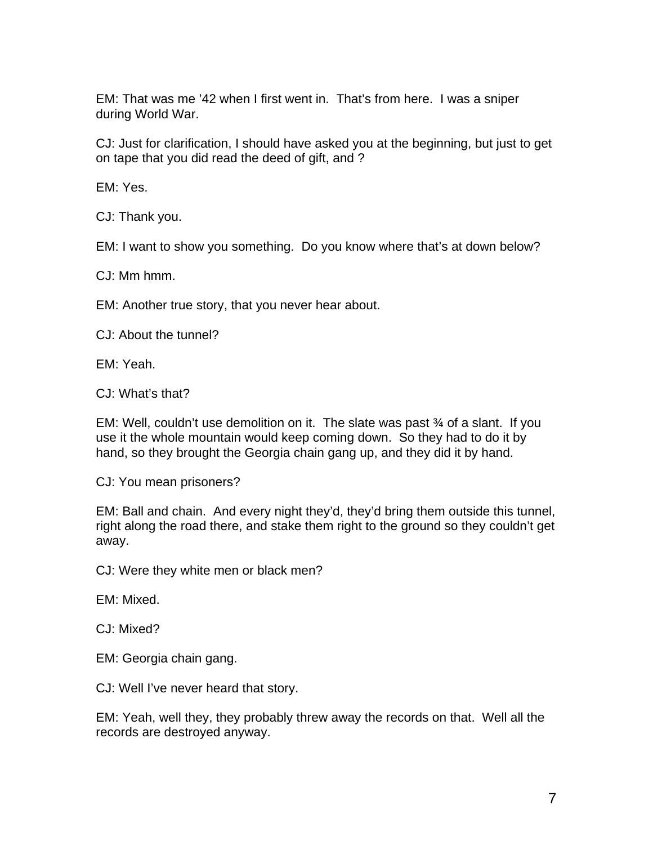EM: That was me '42 when I first went in. That's from here. I was a sniper during World War.

CJ: Just for clarification, I should have asked you at the beginning, but just to get on tape that you did read the deed of gift, and ?

EM: Yes.

CJ: Thank you.

EM: I want to show you something. Do you know where that's at down below?

CJ: Mm hmm.

EM: Another true story, that you never hear about.

CJ: About the tunnel?

EM: Yeah.

CJ: What's that?

EM: Well, couldn't use demolition on it. The slate was past ¾ of a slant. If you use it the whole mountain would keep coming down. So they had to do it by hand, so they brought the Georgia chain gang up, and they did it by hand.

CJ: You mean prisoners?

EM: Ball and chain. And every night they'd, they'd bring them outside this tunnel, right along the road there, and stake them right to the ground so they couldn't get away.

CJ: Were they white men or black men?

EM: Mixed.

CJ: Mixed?

EM: Georgia chain gang.

CJ: Well I've never heard that story.

EM: Yeah, well they, they probably threw away the records on that. Well all the records are destroyed anyway.